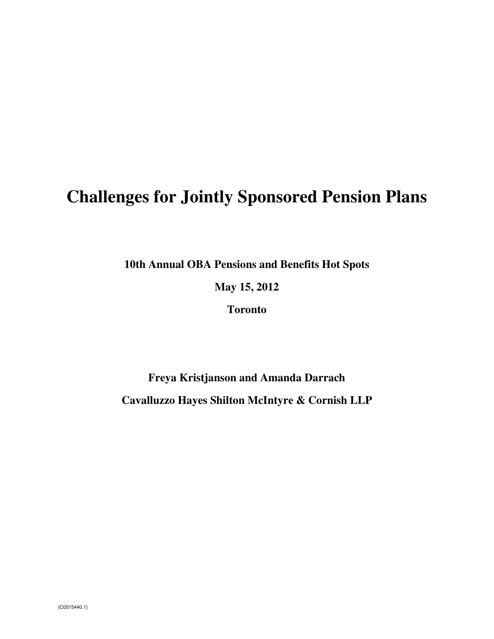# **Challenges for Jointly Sponsored Pension Plans**

**10th Annual OBA Pensions and Benefits Hot Spots** 

**May 15, 2012** 

**Toronto** 

**Freya Kristjanson and Amanda Darrach Cavalluzzo Hayes Shilton McIntyre & Cornish LLP**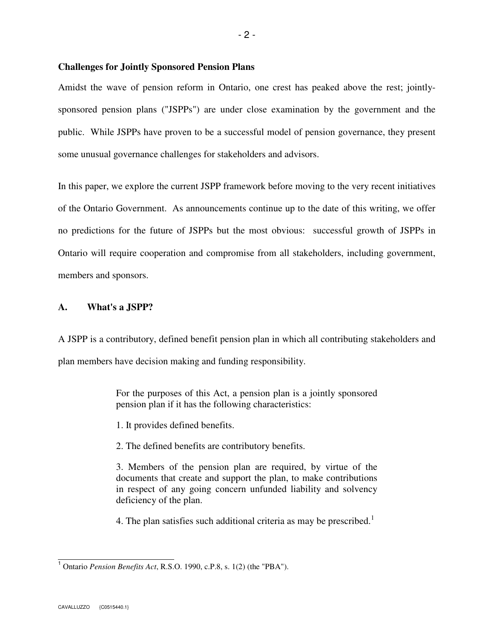#### **Challenges for Jointly Sponsored Pension Plans**

Amidst the wave of pension reform in Ontario, one crest has peaked above the rest; jointlysponsored pension plans ("JSPPs") are under close examination by the government and the public. While JSPPs have proven to be a successful model of pension governance, they present some unusual governance challenges for stakeholders and advisors.

In this paper, we explore the current JSPP framework before moving to the very recent initiatives of the Ontario Government. As announcements continue up to the date of this writing, we offer no predictions for the future of JSPPs but the most obvious: successful growth of JSPPs in Ontario will require cooperation and compromise from all stakeholders, including government, members and sponsors.

# **A. What's a JSPP?**

A JSPP is a contributory, defined benefit pension plan in which all contributing stakeholders and plan members have decision making and funding responsibility.

> For the purposes of this Act, a pension plan is a jointly sponsored pension plan if it has the following characteristics:

1. It provides defined benefits.

2. The defined benefits are contributory benefits.

3. Members of the pension plan are required, by virtue of the documents that create and support the plan, to make contributions in respect of any going concern unfunded liability and solvency deficiency of the plan.

4. The plan satisfies such additional criteria as may be prescribed.<sup>1</sup>

<sup>&</sup>lt;sup>1</sup> Ontario *Pension Benefits Act*, R.S.O. 1990, c.P.8, s. 1(2) (the "PBA").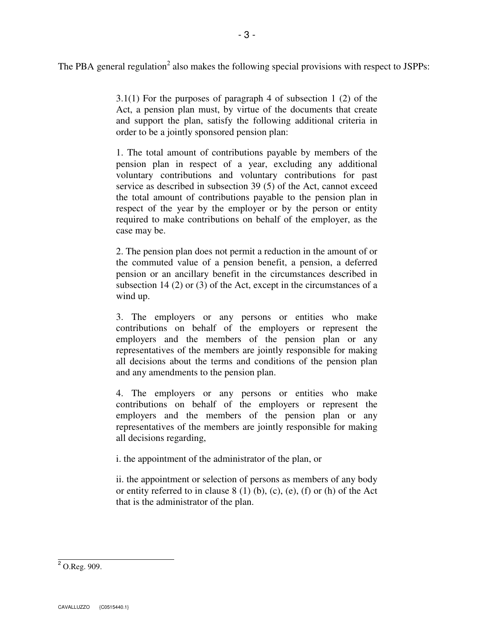The PBA general regulation<sup>2</sup> also makes the following special provisions with respect to JSPPs:

3.1(1) For the purposes of paragraph 4 of subsection 1 (2) of the Act, a pension plan must, by virtue of the documents that create and support the plan, satisfy the following additional criteria in order to be a jointly sponsored pension plan:

1. The total amount of contributions payable by members of the pension plan in respect of a year, excluding any additional voluntary contributions and voluntary contributions for past service as described in subsection 39 (5) of the Act, cannot exceed the total amount of contributions payable to the pension plan in respect of the year by the employer or by the person or entity required to make contributions on behalf of the employer, as the case may be.

2. The pension plan does not permit a reduction in the amount of or the commuted value of a pension benefit, a pension, a deferred pension or an ancillary benefit in the circumstances described in subsection 14 (2) or (3) of the Act, except in the circumstances of a wind up.

3. The employers or any persons or entities who make contributions on behalf of the employers or represent the employers and the members of the pension plan or any representatives of the members are jointly responsible for making all decisions about the terms and conditions of the pension plan and any amendments to the pension plan.

4. The employers or any persons or entities who make contributions on behalf of the employers or represent the employers and the members of the pension plan or any representatives of the members are jointly responsible for making all decisions regarding,

i. the appointment of the administrator of the plan, or

ii. the appointment or selection of persons as members of any body or entity referred to in clause  $8(1)$  (b), (c), (e), (f) or (h) of the Act that is the administrator of the plan.

 $2^2$  O.Reg. 909.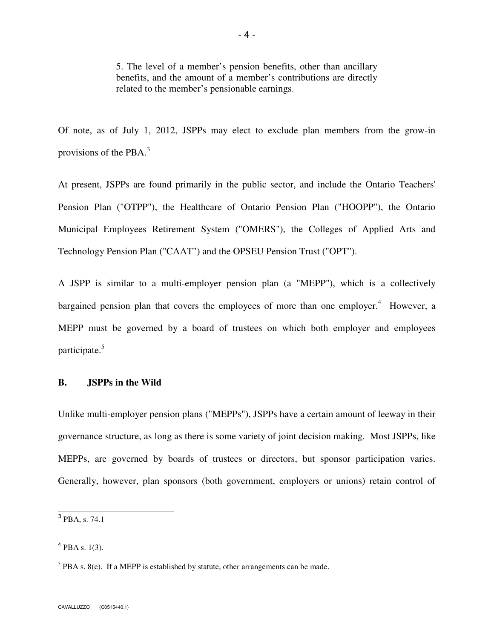5. The level of a member's pension benefits, other than ancillary benefits, and the amount of a member's contributions are directly related to the member's pensionable earnings.

Of note, as of July 1, 2012, JSPPs may elect to exclude plan members from the grow-in provisions of the PBA. $3$ 

At present, JSPPs are found primarily in the public sector, and include the Ontario Teachers' Pension Plan ("OTPP"), the Healthcare of Ontario Pension Plan ("HOOPP"), the Ontario Municipal Employees Retirement System ("OMERS"), the Colleges of Applied Arts and Technology Pension Plan ("CAAT") and the OPSEU Pension Trust ("OPT").

A JSPP is similar to a multi-employer pension plan (a "MEPP"), which is a collectively bargained pension plan that covers the employees of more than one employer.<sup>4</sup> However, a MEPP must be governed by a board of trustees on which both employer and employees participate.<sup>5</sup>

# **B. JSPPs in the Wild**

Unlike multi-employer pension plans ("MEPPs"), JSPPs have a certain amount of leeway in their governance structure, as long as there is some variety of joint decision making. Most JSPPs, like MEPPs, are governed by boards of trustees or directors, but sponsor participation varies. Generally, however, plan sponsors (both government, employers or unions) retain control of

<sup>&</sup>lt;sup>3</sup> PBA, s. 74.1

 $^{4}$  PBA s. 1(3).

 $<sup>5</sup>$  PBA s. 8(e). If a MEPP is established by statute, other arrangements can be made.</sup>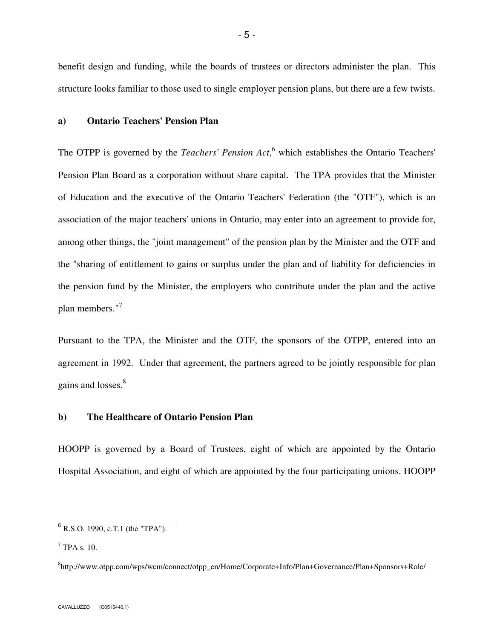benefit design and funding, while the boards of trustees or directors administer the plan. This structure looks familiar to those used to single employer pension plans, but there are a few twists.

# **a) Ontario Teachers' Pension Plan**

The OTPP is governed by the *Teachers' Pension Act*,<sup>6</sup> which establishes the Ontario Teachers' Pension Plan Board as a corporation without share capital. The TPA provides that the Minister of Education and the executive of the Ontario Teachers' Federation (the "OTF"), which is an association of the major teachers' unions in Ontario, may enter into an agreement to provide for, among other things, the "joint management" of the pension plan by the Minister and the OTF and the "sharing of entitlement to gains or surplus under the plan and of liability for deficiencies in the pension fund by the Minister, the employers who contribute under the plan and the active plan members."<sup>7</sup>

Pursuant to the TPA, the Minister and the OTF, the sponsors of the OTPP, entered into an agreement in 1992. Under that agreement, the partners agreed to be jointly responsible for plan gains and losses.<sup>8</sup>

#### **b) The Healthcare of Ontario Pension Plan**

HOOPP is governed by a Board of Trustees, eight of which are appointed by the Ontario Hospital Association, and eight of which are appointed by the four participating unions. HOOPP

 $6$  R.S.O. 1990, c.T.1 (the "TPA").

 $7$  TPA s. 10.

<sup>8</sup> http://www.otpp.com/wps/wcm/connect/otpp\_en/Home/Corporate+Info/Plan+Governance/Plan+Sponsors+Role/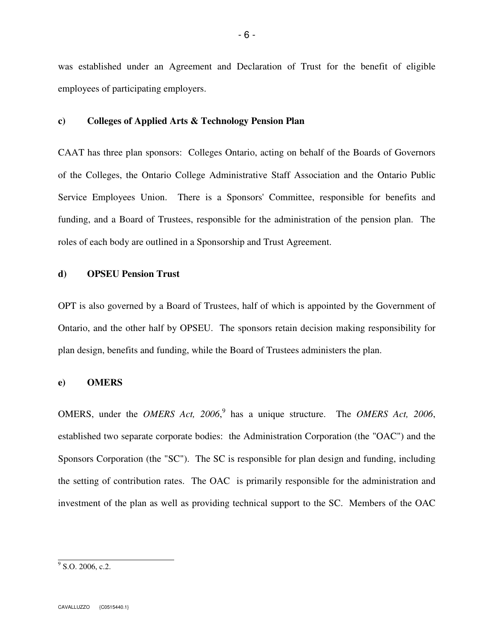was established under an Agreement and Declaration of Trust for the benefit of eligible employees of participating employers.

#### **c) Colleges of Applied Arts & Technology Pension Plan**

CAAT has three plan sponsors: Colleges Ontario, acting on behalf of the Boards of Governors of the Colleges, the Ontario College Administrative Staff Association and the Ontario Public Service Employees Union. There is a Sponsors' Committee, responsible for benefits and funding, and a Board of Trustees, responsible for the administration of the pension plan. The roles of each body are outlined in a Sponsorship and Trust Agreement.

#### **d) OPSEU Pension Trust**

OPT is also governed by a Board of Trustees, half of which is appointed by the Government of Ontario, and the other half by OPSEU. The sponsors retain decision making responsibility for plan design, benefits and funding, while the Board of Trustees administers the plan.

#### **e) OMERS**

OMERS, under the *OMERS Act*, 2006,<sup>9</sup> has a unique structure. The *OMERS Act*, 2006, established two separate corporate bodies: the Administration Corporation (the "OAC") and the Sponsors Corporation (the "SC"). The SC is responsible for plan design and funding, including the setting of contribution rates. The OAC is primarily responsible for the administration and investment of the plan as well as providing technical support to the SC. Members of the OAC

 $9^9$  S.O. 2006, c.2.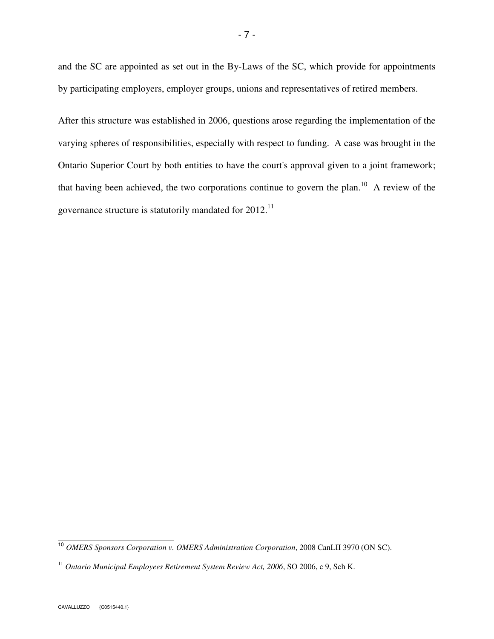and the SC are appointed as set out in the By-Laws of the SC, which provide for appointments by participating employers, employer groups, unions and representatives of retired members.

After this structure was established in 2006, questions arose regarding the implementation of the varying spheres of responsibilities, especially with respect to funding. A case was brought in the Ontario Superior Court by both entities to have the court's approval given to a joint framework; that having been achieved, the two corporations continue to govern the plan.<sup>10</sup> A review of the governance structure is statutorily mandated for  $2012$ .<sup>11</sup>

 <sup>10</sup> *OMERS Sponsors Corporation v. OMERS Administration Corporation*, 2008 CanLII 3970 (ON SC).

<sup>&</sup>lt;sup>11</sup> Ontario Municipal Employees Retirement System Review Act, 2006, SO 2006, c 9, Sch K.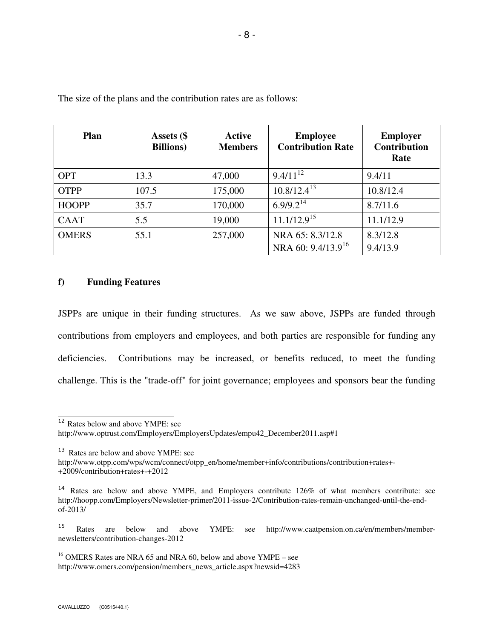| <b>Plan</b>  | Assets (\$<br><b>Billions</b> ) | <b>Active</b><br><b>Members</b> | <b>Employee</b><br><b>Contribution Rate</b> | <b>Employer</b><br><b>Contribution</b><br>Rate |
|--------------|---------------------------------|---------------------------------|---------------------------------------------|------------------------------------------------|
| <b>OPT</b>   | 13.3                            | 47,000                          | $9.4/11^{12}$                               | 9.4/11                                         |
| <b>OTPP</b>  | 107.5                           | 175,000                         | $10.8/12.4^{13}$                            | 10.8/12.4                                      |
| <b>HOOPP</b> | 35.7                            | 170,000                         | $6.9/9.2^{14}$                              | 8.7/11.6                                       |
| <b>CAAT</b>  | 5.5                             | 19,000                          | $11.1/12.9^{15}$                            | 11.1/12.9                                      |
| <b>OMERS</b> | 55.1                            | 257,000                         | NRA 65: 8.3/12.8                            | 8.3/12.8                                       |
|              |                                 |                                 | NRA 60: 9.4/13.9 <sup>16</sup>              | 9.4/13.9                                       |

The size of the plans and the contribution rates are as follows:

## **f) Funding Features**

JSPPs are unique in their funding structures. As we saw above, JSPPs are funded through contributions from employers and employees, and both parties are responsible for funding any deficiencies. Contributions may be increased, or benefits reduced, to meet the funding challenge. This is the "trade-off" for joint governance; employees and sponsors bear the funding

<sup>12</sup> Rates below and above YMPE: see

http://www.optrust.com/Employers/EmployersUpdates/empu42\_December2011.asp#1

<sup>13</sup> Rates are below and above YMPE: see

http://www.otpp.com/wps/wcm/connect/otpp\_en/home/member+info/contributions/contribution+rates+- +2009/contribution+rates+-+2012

 $16$  OMERS Rates are NRA 65 and NRA 60, below and above YMPE – see http://www.omers.com/pension/members\_news\_article.aspx?newsid=4283

<sup>&</sup>lt;sup>14</sup> Rates are below and above YMPE, and Employers contribute 126% of what members contribute: see http://hoopp.com/Employers/Newsletter-primer/2011-issue-2/Contribution-rates-remain-unchanged-until-the-endof-2013/

<sup>15</sup> Rates are below and above YMPE: see http://www.caatpension.on.ca/en/members/membernewsletters/contribution-changes-2012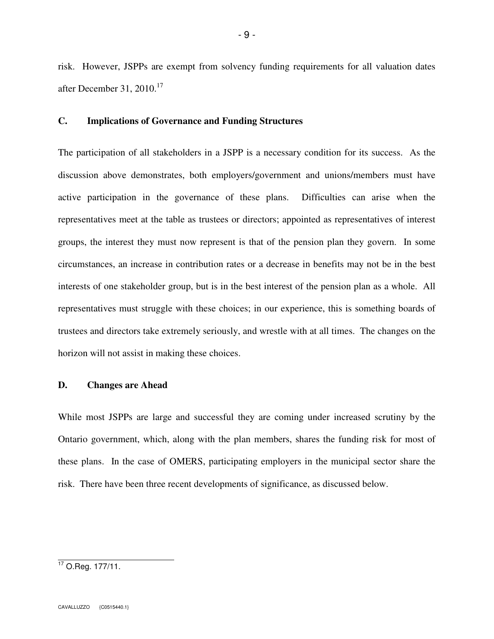risk. However, JSPPs are exempt from solvency funding requirements for all valuation dates after December 31, 2010. $17$ 

# **C. Implications of Governance and Funding Structures**

The participation of all stakeholders in a JSPP is a necessary condition for its success. As the discussion above demonstrates, both employers/government and unions/members must have active participation in the governance of these plans. Difficulties can arise when the representatives meet at the table as trustees or directors; appointed as representatives of interest groups, the interest they must now represent is that of the pension plan they govern. In some circumstances, an increase in contribution rates or a decrease in benefits may not be in the best interests of one stakeholder group, but is in the best interest of the pension plan as a whole. All representatives must struggle with these choices; in our experience, this is something boards of trustees and directors take extremely seriously, and wrestle with at all times. The changes on the horizon will not assist in making these choices.

## **D. Changes are Ahead**

While most JSPPs are large and successful they are coming under increased scrutiny by the Ontario government, which, along with the plan members, shares the funding risk for most of these plans. In the case of OMERS, participating employers in the municipal sector share the risk. There have been three recent developments of significance, as discussed below.

 $17$  O.Reg. 177/11.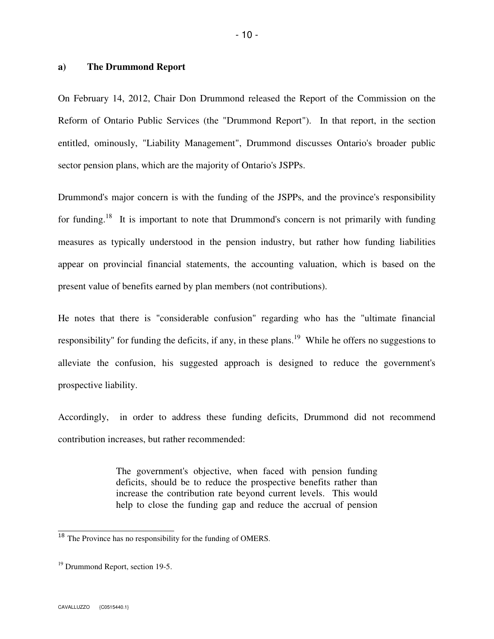#### **a) The Drummond Report**

On February 14, 2012, Chair Don Drummond released the Report of the Commission on the Reform of Ontario Public Services (the "Drummond Report"). In that report, in the section entitled, ominously, "Liability Management", Drummond discusses Ontario's broader public sector pension plans, which are the majority of Ontario's JSPPs.

Drummond's major concern is with the funding of the JSPPs, and the province's responsibility for funding.<sup>18</sup> It is important to note that Drummond's concern is not primarily with funding measures as typically understood in the pension industry, but rather how funding liabilities appear on provincial financial statements, the accounting valuation, which is based on the present value of benefits earned by plan members (not contributions).

He notes that there is "considerable confusion" regarding who has the "ultimate financial responsibility" for funding the deficits, if any, in these plans.<sup>19</sup> While he offers no suggestions to alleviate the confusion, his suggested approach is designed to reduce the government's prospective liability.

Accordingly, in order to address these funding deficits, Drummond did not recommend contribution increases, but rather recommended:

> The government's objective, when faced with pension funding deficits, should be to reduce the prospective benefits rather than increase the contribution rate beyond current levels. This would help to close the funding gap and reduce the accrual of pension

<sup>&</sup>lt;sup>18</sup> The Province has no responsibility for the funding of OMERS.

<sup>19</sup> Drummond Report, section 19-5.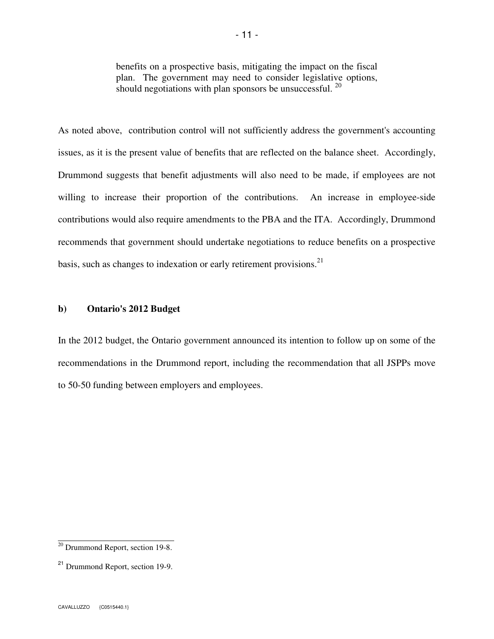benefits on a prospective basis, mitigating the impact on the fiscal plan. The government may need to consider legislative options, should negotiations with plan sponsors be unsuccessful.  $^{20}$ 

As noted above, contribution control will not sufficiently address the government's accounting issues, as it is the present value of benefits that are reflected on the balance sheet. Accordingly, Drummond suggests that benefit adjustments will also need to be made, if employees are not willing to increase their proportion of the contributions. An increase in employee-side contributions would also require amendments to the PBA and the ITA. Accordingly, Drummond recommends that government should undertake negotiations to reduce benefits on a prospective basis, such as changes to indexation or early retirement provisions. $^{21}$ 

#### **b) Ontario's 2012 Budget**

In the 2012 budget, the Ontario government announced its intention to follow up on some of the recommendations in the Drummond report, including the recommendation that all JSPPs move to 50-50 funding between employers and employees.

 $20$  Drummond Report, section 19-8.

<sup>21</sup> Drummond Report, section 19-9.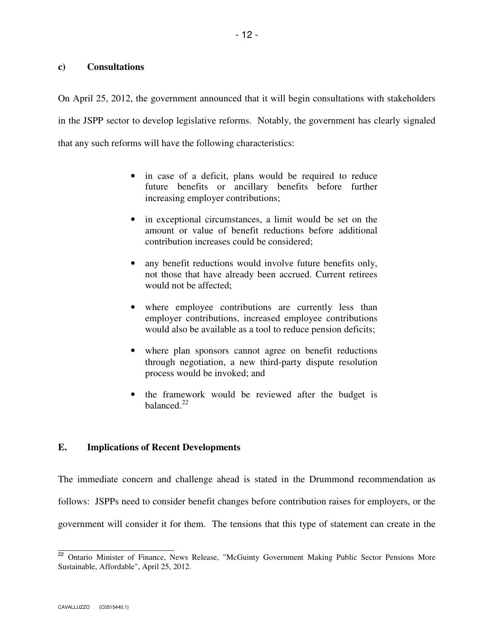# **c) Consultations**

On April 25, 2012, the government announced that it will begin consultations with stakeholders in the JSPP sector to develop legislative reforms. Notably, the government has clearly signaled that any such reforms will have the following characteristics:

- in case of a deficit, plans would be required to reduce future benefits or ancillary benefits before further increasing employer contributions;
- in exceptional circumstances, a limit would be set on the amount or value of benefit reductions before additional contribution increases could be considered;
- any benefit reductions would involve future benefits only, not those that have already been accrued. Current retirees would not be affected;
- where employee contributions are currently less than employer contributions, increased employee contributions would also be available as a tool to reduce pension deficits;
- where plan sponsors cannot agree on benefit reductions through negotiation, a new third-party dispute resolution process would be invoked; and
- the framework would be reviewed after the budget is balanced. $22$

# **E. Implications of Recent Developments**

The immediate concern and challenge ahead is stated in the Drummond recommendation as follows: JSPPs need to consider benefit changes before contribution raises for employers, or the government will consider it for them. The tensions that this type of statement can create in the

<sup>&</sup>lt;sup>22</sup> Ontario Minister of Finance, News Release, "McGuinty Government Making Public Sector Pensions More Sustainable, Affordable", April 25, 2012.